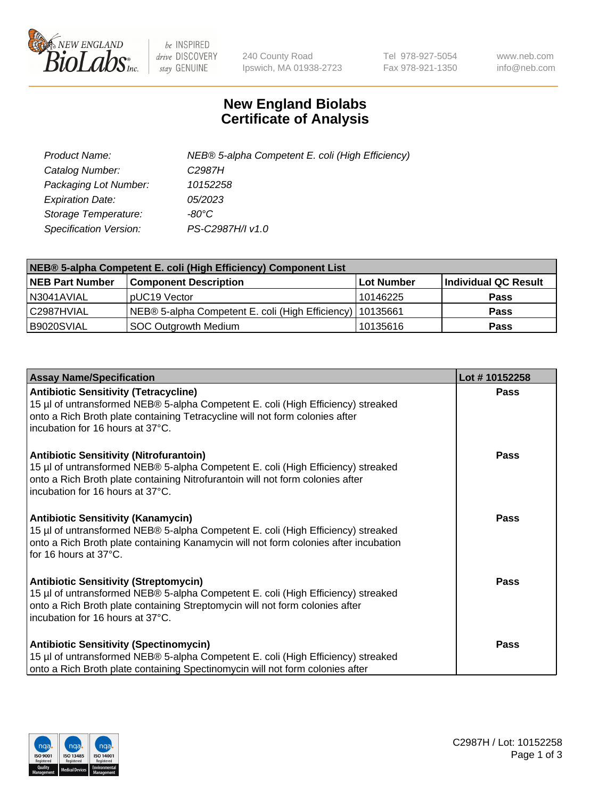

 $be$  INSPIRED drive DISCOVERY stay GENUINE

240 County Road Ipswich, MA 01938-2723 Tel 978-927-5054 Fax 978-921-1350 www.neb.com info@neb.com

## **New England Biolabs Certificate of Analysis**

| Product Name:           | NEB® 5-alpha Competent E. coli (High Efficiency) |
|-------------------------|--------------------------------------------------|
| Catalog Number:         | C <sub>2987</sub> H                              |
| Packaging Lot Number:   | 10152258                                         |
| <b>Expiration Date:</b> | 05/2023                                          |
| Storage Temperature:    | -80°C                                            |
| Specification Version:  | PS-C2987H/I v1.0                                 |

| NEB® 5-alpha Competent E. coli (High Efficiency) Component List |                                                             |                   |                      |  |
|-----------------------------------------------------------------|-------------------------------------------------------------|-------------------|----------------------|--|
| <b>NEB Part Number</b>                                          | <b>Component Description</b>                                | <b>Lot Number</b> | Individual QC Result |  |
| N3041AVIAL                                                      | pUC19 Vector                                                | 10146225          | <b>Pass</b>          |  |
| C2987HVIAL                                                      | NEB® 5-alpha Competent E. coli (High Efficiency)   10135661 |                   | <b>Pass</b>          |  |
| B9020SVIAL                                                      | SOC Outgrowth Medium                                        | 10135616          | <b>Pass</b>          |  |

| <b>Assay Name/Specification</b>                                                                                                                                                                                                                          | Lot #10152258 |
|----------------------------------------------------------------------------------------------------------------------------------------------------------------------------------------------------------------------------------------------------------|---------------|
| <b>Antibiotic Sensitivity (Tetracycline)</b><br>15 µl of untransformed NEB® 5-alpha Competent E. coli (High Efficiency) streaked<br>onto a Rich Broth plate containing Tetracycline will not form colonies after<br>incubation for 16 hours at 37°C.     | Pass          |
| <b>Antibiotic Sensitivity (Nitrofurantoin)</b><br>15 µl of untransformed NEB® 5-alpha Competent E. coli (High Efficiency) streaked<br>onto a Rich Broth plate containing Nitrofurantoin will not form colonies after<br>incubation for 16 hours at 37°C. | Pass          |
| Antibiotic Sensitivity (Kanamycin)<br>15 µl of untransformed NEB® 5-alpha Competent E. coli (High Efficiency) streaked<br>onto a Rich Broth plate containing Kanamycin will not form colonies after incubation<br>for 16 hours at 37°C.                  | Pass          |
| <b>Antibiotic Sensitivity (Streptomycin)</b><br>15 µl of untransformed NEB® 5-alpha Competent E. coli (High Efficiency) streaked<br>onto a Rich Broth plate containing Streptomycin will not form colonies after<br>incubation for 16 hours at 37°C.     | <b>Pass</b>   |
| <b>Antibiotic Sensitivity (Spectinomycin)</b><br>15 µl of untransformed NEB® 5-alpha Competent E. coli (High Efficiency) streaked<br>onto a Rich Broth plate containing Spectinomycin will not form colonies after                                       | <b>Pass</b>   |

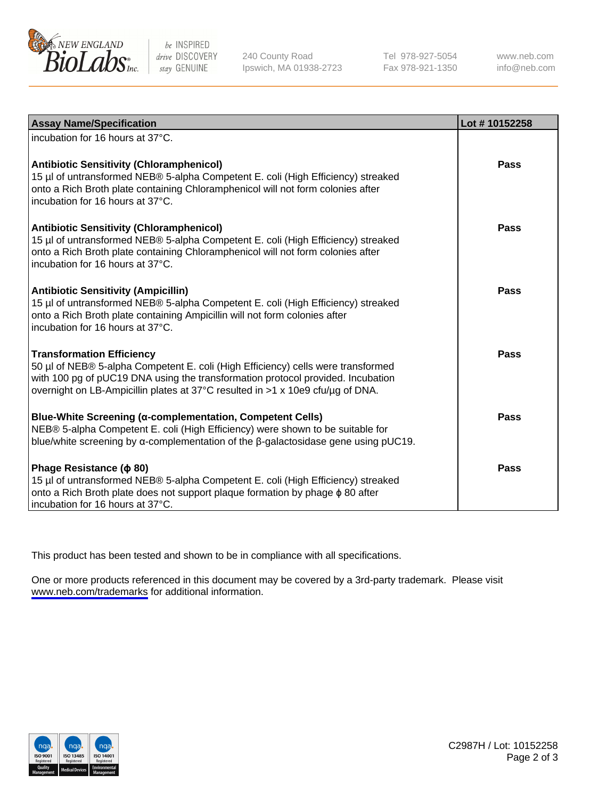

be INSPIRED drive DISCOVERY stay GENUINE

240 County Road Ipswich, MA 01938-2723 Tel 978-927-5054 Fax 978-921-1350

www.neb.com info@neb.com

| <b>Assay Name/Specification</b>                                                                                                                                                                                                                                                           | Lot #10152258 |
|-------------------------------------------------------------------------------------------------------------------------------------------------------------------------------------------------------------------------------------------------------------------------------------------|---------------|
| incubation for 16 hours at 37°C.                                                                                                                                                                                                                                                          |               |
| <b>Antibiotic Sensitivity (Chloramphenicol)</b><br>15 µl of untransformed NEB® 5-alpha Competent E. coli (High Efficiency) streaked<br>onto a Rich Broth plate containing Chloramphenicol will not form colonies after<br>incubation for 16 hours at 37°C.                                | Pass          |
| <b>Antibiotic Sensitivity (Chloramphenicol)</b><br>15 µl of untransformed NEB® 5-alpha Competent E. coli (High Efficiency) streaked<br>onto a Rich Broth plate containing Chloramphenicol will not form colonies after<br>incubation for 16 hours at 37°C.                                | <b>Pass</b>   |
| <b>Antibiotic Sensitivity (Ampicillin)</b><br>15 µl of untransformed NEB® 5-alpha Competent E. coli (High Efficiency) streaked<br>onto a Rich Broth plate containing Ampicillin will not form colonies after<br>incubation for 16 hours at 37°C.                                          | Pass          |
| <b>Transformation Efficiency</b><br>50 µl of NEB® 5-alpha Competent E. coli (High Efficiency) cells were transformed<br>with 100 pg of pUC19 DNA using the transformation protocol provided. Incubation<br>overnight on LB-Ampicillin plates at 37°C resulted in >1 x 10e9 cfu/µg of DNA. | <b>Pass</b>   |
| Blue-White Screening (α-complementation, Competent Cells)<br>NEB® 5-alpha Competent E. coli (High Efficiency) were shown to be suitable for<br>blue/white screening by $\alpha$ -complementation of the $\beta$ -galactosidase gene using pUC19.                                          | <b>Pass</b>   |
| Phage Resistance ( $\phi$ 80)<br>15 µl of untransformed NEB® 5-alpha Competent E. coli (High Efficiency) streaked<br>onto a Rich Broth plate does not support plaque formation by phage $\phi$ 80 after<br>incubation for 16 hours at 37°C.                                               | <b>Pass</b>   |

This product has been tested and shown to be in compliance with all specifications.

One or more products referenced in this document may be covered by a 3rd-party trademark. Please visit <www.neb.com/trademarks>for additional information.